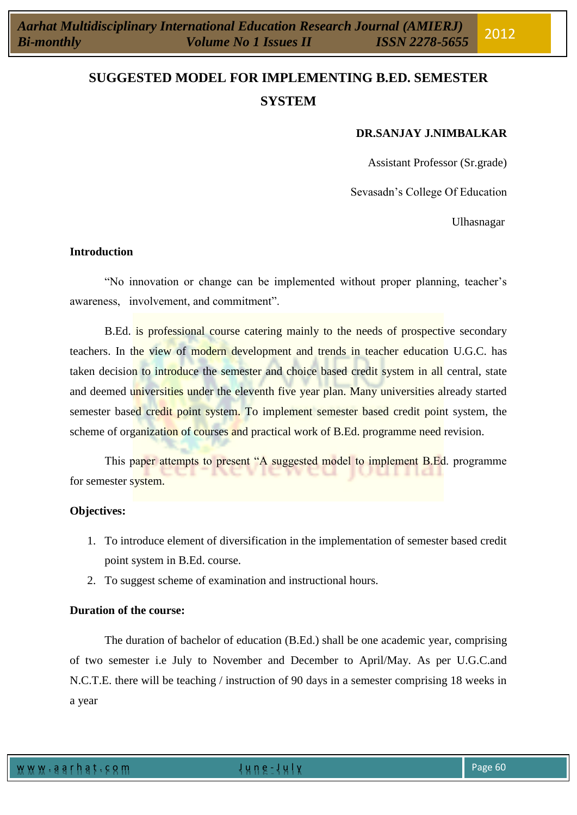# **SUGGESTED MODEL FOR IMPLEMENTING B.ED. SEMESTER SYSTEM**

#### **DR.SANJAY J.NIMBALKAR**

Assistant Professor (Sr.grade)

Sevasadn's College Of Education

Ulhasnagar

#### **Introduction**

"No innovation or change can be implemented without proper planning, teacher's awareness, involvement, and commitment".

B.Ed. is professional course catering mainly to the needs of prospective secondary teachers. In the view of modern development and trends in teacher education U.G.C. has taken decision to introduce the semester and choice based credit system in all central, state and deemed universities under the eleventh five year plan. Many universities already started semester based credit point system. To implement semester based credit point system, the scheme of organization of courses and practical work of B.Ed. programme need revision.

This paper attempts to present "A suggested model to implement B.Ed. programme for semester system.

#### **Objectives:**

- 1. To introduce element of diversification in the implementation of semester based credit point system in B.Ed. course.
- 2. To suggest scheme of examination and instructional hours.

#### **Duration of the course:**

The duration of bachelor of education (B.Ed.) shall be one academic year, comprising of two semester i.e July to November and December to April/May. As per U.G.C.and N.C.T.E. there will be teaching / instruction of 90 days in a semester comprising 18 weeks in a year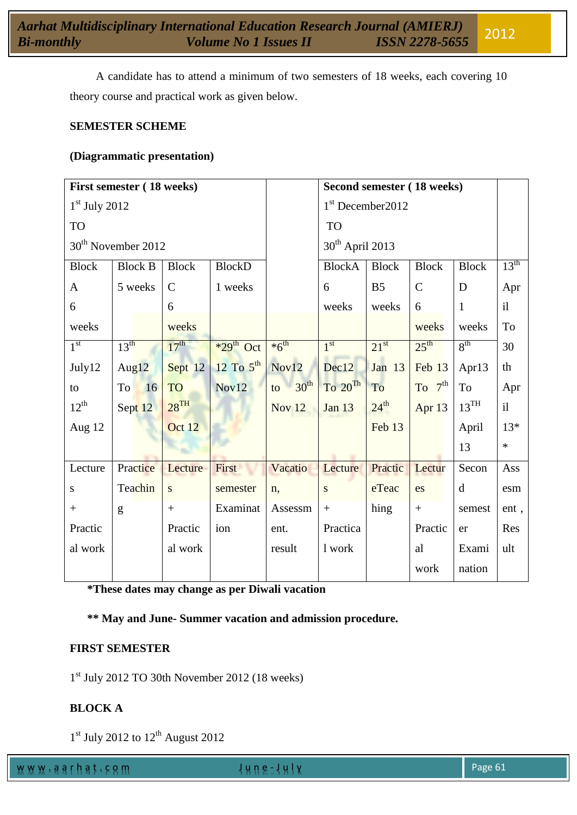A candidate has to attend a minimum of two semesters of 18 weeks, each covering 10 theory course and practical work as given below.

#### **SEMESTER SCHEME**

#### **(Diagrammatic presentation)**

|                                | First semester (18 weeks) |                    |                         |                               | Second semester (18 weeks)     |                     |                   |                  |                  |
|--------------------------------|---------------------------|--------------------|-------------------------|-------------------------------|--------------------------------|---------------------|-------------------|------------------|------------------|
| $1st$ July 2012                |                           |                    |                         |                               |                                | $1st$ December 2012 |                   |                  |                  |
| <b>TO</b>                      |                           |                    |                         | <b>TO</b>                     |                                |                     |                   |                  |                  |
| 30 <sup>th</sup> November 2012 |                           |                    |                         | $30th$ April 2013             |                                |                     |                   |                  |                  |
| <b>Block</b>                   | <b>Block B</b>            | <b>Block</b>       | <b>BlockD</b>           |                               | <b>BlockA</b>                  | <b>Block</b>        | <b>Block</b>      | <b>Block</b>     | $13^{\text{th}}$ |
| $\mathbf{A}$                   | 5 weeks                   | $\mathcal{C}$      | 1 weeks                 |                               | 6                              | B <sub>5</sub>      | $\mathcal{C}$     | D                | Apr              |
| 6                              |                           | 6                  |                         |                               | weeks                          | weeks               | 6                 | $\mathbf{1}$     | i                |
| weeks                          |                           | weeks              |                         |                               |                                |                     | weeks             | weeks            | To               |
| 1 <sup>st</sup>                | 13 <sup>th</sup>          | 17 <sup>th</sup>   | $*29$ <sup>th</sup> Oct | $*6^{\text{th}}$              | 1 <sup>st</sup>                | $21^{st}$           | $25^{\text{th}}$  | 8 <sup>th</sup>  | 30               |
| July12                         | Aug $12$                  | Sept 12            | $12$ To $5^{\text{th}}$ | Nov12                         | Dec12                          | Jan 13              | Feb 13            | Apr13            | th               |
| to                             | To<br>16                  | TO                 | Nov12                   | $\Box$ 30 <sup>th</sup><br>to | $\mathrm{To}$ 20 <sup>Th</sup> | To                  | $To$ $7th$        | <b>To</b>        | Apr              |
| $12^{th}$                      | Sept 12                   | $28$ <sup>TH</sup> |                         | Nov <sub>12</sub>             | <b>Jan 13</b>                  | $24^{\text{th}}$    | Apr <sub>13</sub> | $13^{\text{TH}}$ | i                |
| Aug $12$                       |                           | Oct 12             |                         |                               |                                | Feb 13              |                   | April            | $13*$            |
|                                |                           |                    |                         |                               |                                |                     |                   | 13               | $\ast$           |
| Lecture                        | Practice                  | Lecture            | First                   | Vacatio                       | Lecture                        | Practic             | Lectur            | Secon            | Ass              |
| S                              | Teachin                   | S.                 | semester                | n,                            | ${\bf S}$                      | eTeac               | es                | $\mathbf d$      | esm              |
| $+$                            | g                         | $+$                | Examinat                | Assessm                       | $\! +$                         | hing                | $^{+}$            | semest           | ent,             |
| Practic                        |                           | Practic            | ion                     | ent.                          | Practica                       |                     | Practic           | er               | Res              |
| al work                        |                           | al work            |                         | result                        | 1 work                         |                     | al                | Exami            | ult              |
|                                |                           |                    |                         |                               |                                |                     | work              | nation           |                  |

**\*These dates may change as per Diwali vacation** 

**\*\* May and June- Summer vacation and admission procedure.**

#### **FIRST SEMESTER**

1 st July 2012 TO 30th November 2012 (18 weeks)

#### **BLOCK A**

 $1<sup>st</sup>$  July 2012 to  $12<sup>th</sup>$  August 2012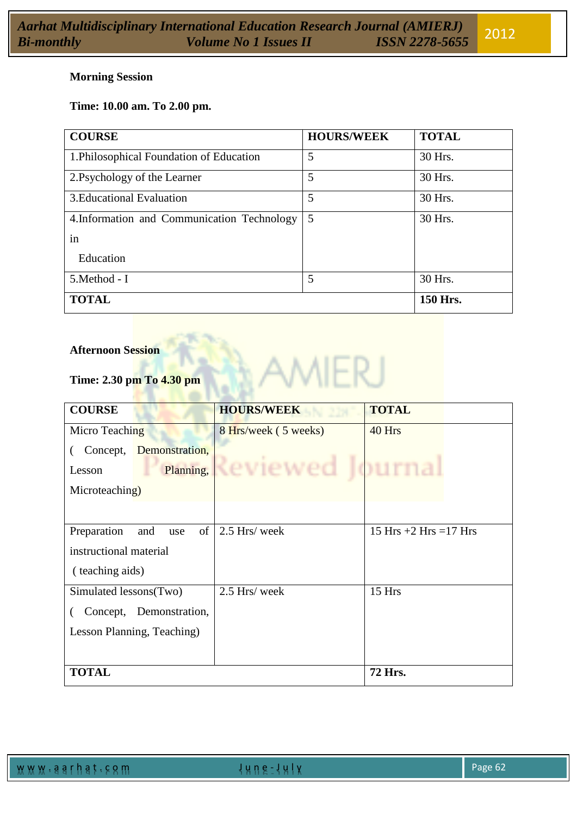#### **Morning Session**

# **Time: 10.00 am. To 2.00 pm.**

| <b>COURSE</b>                               | <b>HOURS/WEEK</b> | <b>TOTAL</b> |
|---------------------------------------------|-------------------|--------------|
| 1. Philosophical Foundation of Education    | 5                 | 30 Hrs.      |
| 2. Psychology of the Learner                | 5                 | 30 Hrs.      |
| 3. Educational Evaluation                   | 5                 | 30 Hrs.      |
| 4. Information and Communication Technology | 5                 | 30 Hrs.      |
| in                                          |                   |              |
| Education                                   |                   |              |
| 5. Method - I                               | 5                 | 30 Hrs.      |
| <b>TOTAL</b>                                |                   | 150 Hrs.     |

#### **Afternoon Session**

# **Time: 2.30 pm To 4.30 pm**

| <b>COURSE</b>              |                         | <b>HOURS/WEEK</b>                | <b>TOTAL</b>              |  |
|----------------------------|-------------------------|----------------------------------|---------------------------|--|
| Micro Teaching             |                         | 8 Hrs/week (5 weeks)             | 40 Hrs                    |  |
| Concept,                   | Demonstration,          |                                  |                           |  |
| Lesson                     |                         | <b>Planting, Reviewed ournal</b> |                           |  |
| Microteaching)             |                         |                                  |                           |  |
|                            |                         |                                  |                           |  |
| Preparation<br>and<br>use  |                         | of $\vert$ 2.5 Hrs/ week         | 15 Hrs $+2$ Hrs $=17$ Hrs |  |
| instructional material     |                         |                                  |                           |  |
| (teaching aids)            |                         |                                  |                           |  |
| Simulated lessons(Two)     |                         | 2.5 Hrs/ week                    | 15 Hrs                    |  |
|                            | Concept, Demonstration, |                                  |                           |  |
| Lesson Planning, Teaching) |                         |                                  |                           |  |
|                            |                         |                                  |                           |  |
| <b>TOTAL</b>               |                         |                                  | <b>72 Hrs.</b>            |  |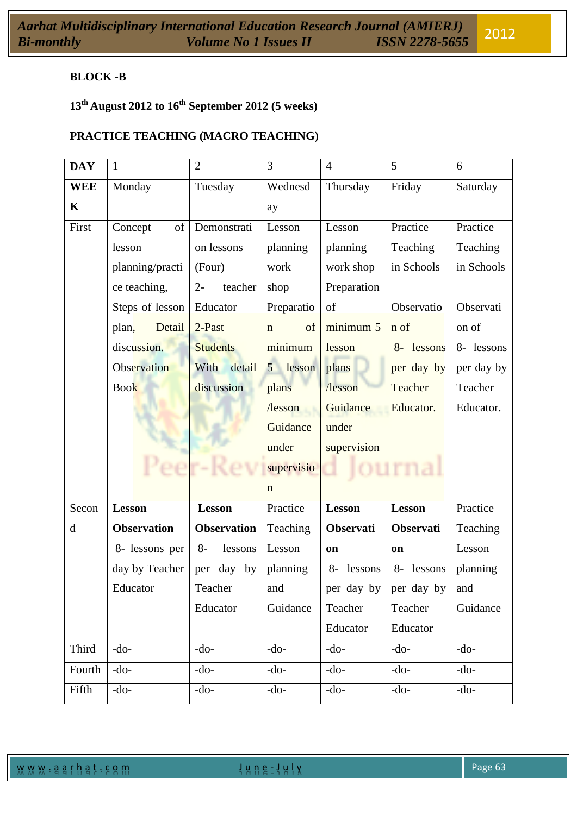# **BLOCK -B**

# **13th August 2012 to 16th September 2012 (5 weeks)**

# **PRACTICE TEACHING (MACRO TEACHING)**

| <b>DAY</b> | $\mathbf{1}$       | $\overline{2}$     | 3                        | $\overline{4}$   | 5                             | 6          |
|------------|--------------------|--------------------|--------------------------|------------------|-------------------------------|------------|
| <b>WEE</b> | Monday             | Tuesday            | Wednesd                  | Thursday         | Friday                        | Saturday   |
| K          |                    |                    | ay                       |                  |                               |            |
| First      | of<br>Concept      | Demonstrati        | Lesson                   | Lesson           | Practice                      | Practice   |
|            | lesson             | on lessons         | planning                 | planning         | Teaching                      | Teaching   |
|            | planning/practi    | (Four)             | work                     | work shop        | in Schools                    | in Schools |
|            | ce teaching,       | teacher<br>$2 -$   | shop                     | Preparation      |                               |            |
|            | Steps of lesson    | Educator           | Preparatio               | of               | Observatio                    | Observati  |
|            | Detail<br>plan,    | 2-Past             | of<br>$\mathbf n$        | minimum 5        | n of                          | on of      |
|            | discussion.        | <b>Students</b>    | minimum                  | lesson           | 8- lessons                    | 8- lessons |
|            | Observation        | With<br>detail     | lesson<br>5 <sup>5</sup> | plans            | per day by                    | per day by |
|            | <b>Book</b>        | discussion         | plans                    | /lesson          | Teacher                       | Teacher    |
|            |                    |                    | l <sub>lesson</sub>      | Guidance         | Educator.                     | Educator.  |
|            |                    |                    | Guidance                 | under            |                               |            |
|            |                    |                    | under                    | supervision      |                               |            |
|            |                    |                    | supervisio               |                  |                               |            |
|            |                    |                    | $\mathbf n$              |                  |                               |            |
| Secon      | <b>Lesson</b>      | <b>Lesson</b>      | Practice                 | <b>Lesson</b>    | <b>Lesson</b>                 | Practice   |
| d          | <b>Observation</b> | <b>Observation</b> | Teaching                 | <b>Observati</b> | Observati                     | Teaching   |
|            | 8- lessons per     | $8-$<br>lessons    | Lesson                   | on               | on                            | Lesson     |
|            | day by Teacher     | day by<br>per      | planning                 | lessons<br>8-    | 8- lessons                    | planning   |
|            | Educator           | Teacher            | and                      |                  | per day by $\vert$ per day by | and        |
|            |                    | Educator           | Guidance                 | Teacher          | Teacher                       | Guidance   |
|            |                    |                    |                          | Educator         | Educator                      |            |
| Third      | $-do-$             | $-do-$             | $-do-$                   | $-do-$           | $-do-$                        | $-do-$     |
| Fourth     | $-do-$             | $-do-$             | $-do-$                   | $-do-$           | $-do-$                        | $-do-$     |
| Fifth      | $-do-$             | $-do-$             | $-do-$                   | $-do-$           | $-do-$                        | $-do-$     |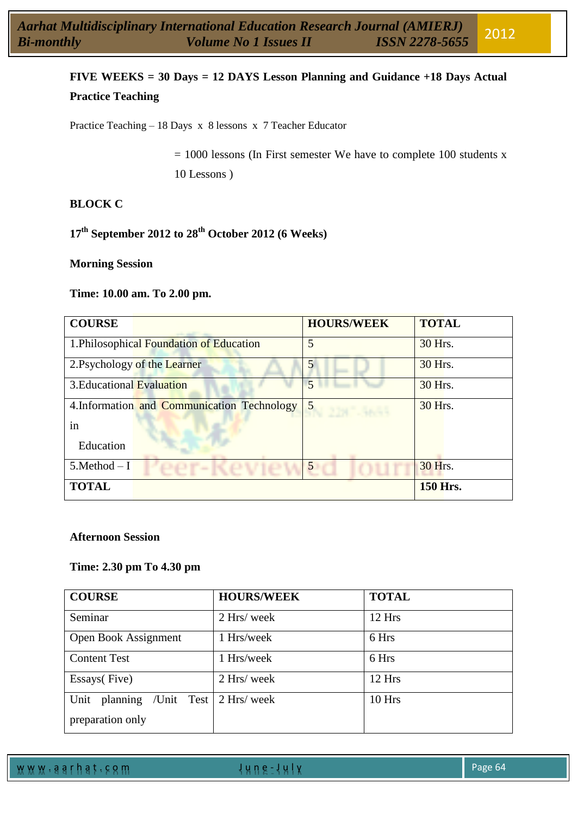# **FIVE WEEKS = 30 Days = 12 DAYS Lesson Planning and Guidance +18 Days Actual Practice Teaching**

Practice Teaching – 18 Days x 8 lessons x 7 Teacher Educator

 $= 1000$  lessons (In First semester We have to complete 100 students x 10 Lessons )

### **BLOCK C**

# **17th September 2012 to 28th October 2012 (6 Weeks)**

#### **Morning Session**

#### **Time: 10.00 am. To 2.00 pm.**

| <b>COURSE</b>             |                                             | <b>HOURS/WEEK</b> | <b>TOTAL</b>    |
|---------------------------|---------------------------------------------|-------------------|-----------------|
|                           | 1. Philosophical Foundation of Education    | 5                 | 30 Hrs.         |
|                           | 2. Psychology of the Learner                |                   | 30 Hrs.         |
| 3. Educational Evaluation |                                             | 5                 | 30 Hrs.         |
|                           | 4. Information and Communication Technology | $45$ N 2187-3657  | 30 Hrs.         |
| in                        |                                             |                   |                 |
| Education                 |                                             |                   |                 |
| $5$ .Method $-1$          | OOT . K OUIDI                               | 5                 | 30 Hrs.         |
| <b>TOTAL</b>              |                                             |                   | <b>150 Hrs.</b> |

#### **Afternoon Session**

#### **Time: 2.30 pm To 4.30 pm**

| <b>COURSE</b>                  | <b>HOURS/WEEK</b> | <b>TOTAL</b> |  |  |
|--------------------------------|-------------------|--------------|--|--|
| Seminar                        | 2 Hrs/ week       | 12 Hrs       |  |  |
| Open Book Assignment           | 1 Hrs/week        | 6 Hrs        |  |  |
| <b>Content Test</b>            | 1 Hrs/week        | 6 Hrs        |  |  |
| Essays(Five)                   | 2 Hrs/ week       | $12$ Hrs     |  |  |
| planning<br>/Unit Test<br>Unit | 2 Hrs/ week       | 10 Hrs       |  |  |
| preparation only               |                   |              |  |  |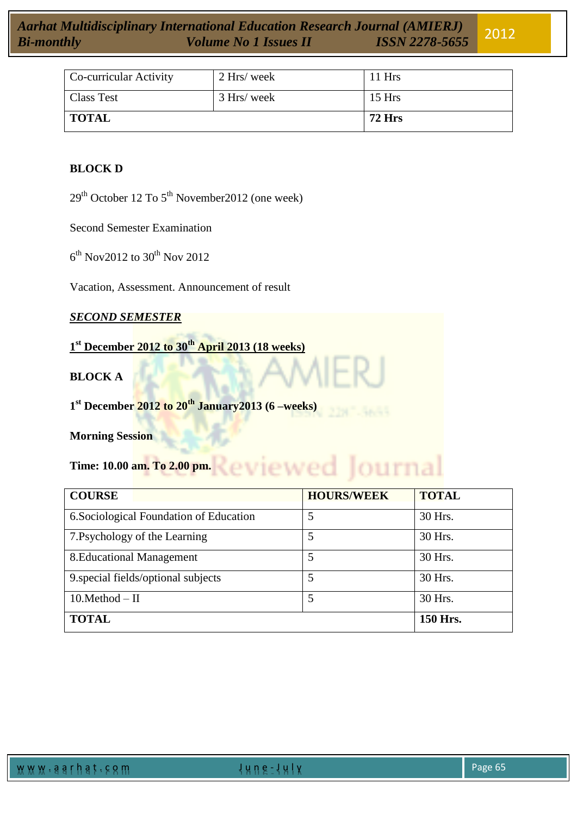| Co-curricular Activity | 2 Hrs/ week | 11 Hrs        |
|------------------------|-------------|---------------|
| <b>Class Test</b>      | 3 Hrs/ week | $15$ Hrs      |
| <b>TOTAL</b>           |             | <b>72 Hrs</b> |

#### **BLOCK D**

 $29<sup>th</sup>$  October 12 To  $5<sup>th</sup>$  November 2012 (one week)

Second Semester Examination

 $6^{\text{th}}$  Nov2012 to 30<sup>th</sup> Nov 2012

Vacation, Assessment. Announcement of result

*SECOND SEMESTER* 

**1 st December 2012 to 30th April 2013 (18 weeks)**

# **BLOCK A**

**1 st December 2012 to 20th January2013 (6 –weeks)**

#### **Morning Session**

Time: 10.00 am. To 2.00 pm. **Reviewed** JOUINal

| <b>COURSE</b>                           | <b>HOURS/WEEK</b> | <b>TOTAL</b> |
|-----------------------------------------|-------------------|--------------|
| 6. Sociological Foundation of Education | 5                 | 30 Hrs.      |
| 7. Psychology of the Learning           |                   | 30 Hrs.      |
| 8. Educational Management               | 5                 | 30 Hrs.      |
| 9. special fields/optional subjects     | 5                 | 30 Hrs.      |
| $10.Method - II$                        | 5                 | 30 Hrs.      |
| <b>TOTAL</b>                            |                   | 150 Hrs.     |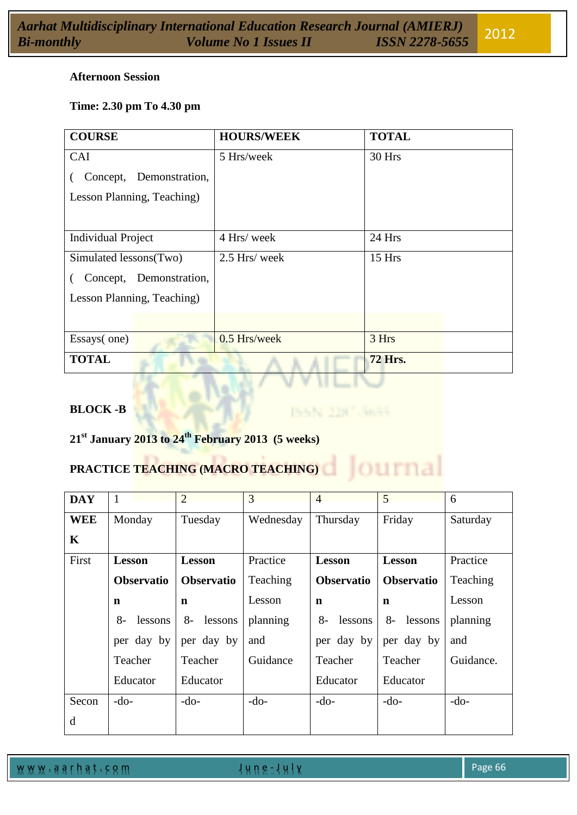|                   | <b>Aarhat Multidisciplinary International Education Research Journal (AMIERJ)</b><br>Bi-monthly <b>Bi-monthly Colume No 1 Issues II ISSN 2278-5655</b> |  |
|-------------------|--------------------------------------------------------------------------------------------------------------------------------------------------------|--|
| <b>Bi-monthly</b> |                                                                                                                                                        |  |

# **Time: 2.30 pm To 4.30 pm**

| <b>COURSE</b>              | <b>HOURS/WEEK</b> | <b>TOTAL</b>   |
|----------------------------|-------------------|----------------|
| CAI                        | 5 Hrs/week        | 30 Hrs         |
| Demonstration,<br>Concept, |                   |                |
| Lesson Planning, Teaching) |                   |                |
|                            |                   |                |
| <b>Individual Project</b>  | 4 Hrs/ week       | 24 Hrs         |
| Simulated lessons(Two)     | 2.5 Hrs/ week     | 15 Hrs         |
| Concept, Demonstration,    |                   |                |
| Lesson Planning, Teaching) |                   |                |
|                            |                   |                |
| Essays(one)                | 0.5 Hrs/week      | 3 Hrs          |
| <b>TOTAL</b>               |                   | <b>72 Hrs.</b> |

ISSN 2387-3655

Journa

# **BLOCK -B**

**21st January 2013 to 24th February 2013 (5 weeks)**

# **PRACTICE TEACHING (MACRO TEACHING)**

| <b>DAY</b> | $\mathbf{1}$      | $\overline{2}$    | 3         | $\overline{4}$    | 5                 | 6         |
|------------|-------------------|-------------------|-----------|-------------------|-------------------|-----------|
| <b>WEE</b> | Monday            | Tuesday           | Wednesday | Thursday          | Friday            | Saturday  |
| K          |                   |                   |           |                   |                   |           |
| First      | <b>Lesson</b>     | <b>Lesson</b>     | Practice  | <b>Lesson</b>     | <b>Lesson</b>     | Practice  |
|            | <b>Observatio</b> | <b>Observatio</b> | Teaching  | <b>Observatio</b> | <b>Observatio</b> | Teaching  |
|            | $\mathbf n$       | $\mathbf n$       | Lesson    | $\mathbf n$       | n                 | Lesson    |
|            | $8-$<br>lessons   | $8-$<br>lessons   | planning  | lessons<br>$8-$   | $8-$<br>lessons   | planning  |
|            | per day by        | per day by        | and       | per day by        | per day by        | and       |
|            | Teacher           | Teacher           | Guidance  | Teacher           | Teacher           | Guidance. |
|            | Educator          | Educator          |           | Educator          | Educator          |           |
| Secon      | $-do-$            | $-do-$            | $-do-$    | $-do-$            | $-do-$            | $-do-$    |
| d          |                   |                   |           |                   |                   |           |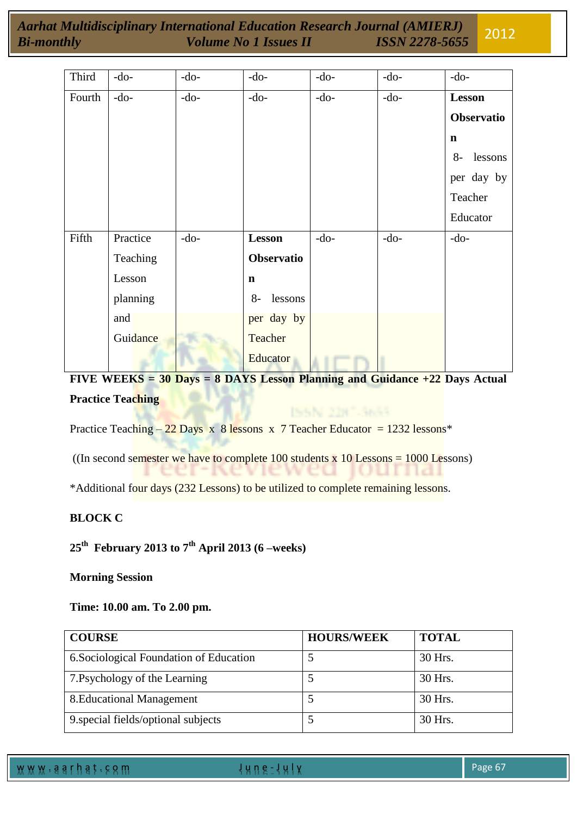| Third  | $-do-$   | $-do-$ | $-do-$          | $-do-$ | $-do-$ | $-do-$          |
|--------|----------|--------|-----------------|--------|--------|-----------------|
| Fourth | $-do-$   | $-do-$ | $-do-$          | $-do-$ | $-do-$ | <b>Lesson</b>   |
|        |          |        |                 |        |        | Observatio      |
|        |          |        |                 |        |        | $\mathbf n$     |
|        |          |        |                 |        |        | lessons<br>$8-$ |
|        |          |        |                 |        |        | per day by      |
|        |          |        |                 |        |        | Teacher         |
|        |          |        |                 |        |        | Educator        |
| Fifth  | Practice | $-do-$ | Lesson          | $-do-$ | $-do-$ | $-do-$          |
|        | Teaching |        | Observatio      |        |        |                 |
|        | Lesson   |        | $\mathbf n$     |        |        |                 |
|        | planning |        | $8-$<br>lessons |        |        |                 |
|        | and      |        | per day by      |        |        |                 |
|        | Guidance |        | Teacher         |        |        |                 |
|        |          |        | Educator        |        |        |                 |

**FIVE WEEKS = 30 Days = 8 DAYS Lesson Planning and Guidance +22 Days Actual Practice Teaching** 

ISSN 2287-3655

Practice Teaching – 22 Days x 8 lessons x 7 Teacher Educator = 1232 lessons\*

((In second semester we have to complete 100 students  $\bar{x}$  10 Lessons = 1000 Lessons)

\*Additional four days (232 Lessons) to be utilized to complete remaining lessons.

# **BLOCK C**

## **25th February 2013 to 7th April 2013 (6 –weeks)**

#### **Morning Session**

#### **Time: 10.00 am. To 2.00 pm.**

| <b>COURSE</b>                           | <b>HOURS/WEEK</b> | <b>TOTAL</b> |
|-----------------------------------------|-------------------|--------------|
| 6. Sociological Foundation of Education |                   | 30 Hrs.      |
| 7. Psychology of the Learning           |                   | 30 Hrs.      |
| 8. Educational Management               |                   | 30 Hrs.      |
| 9. special fields/optional subjects     |                   | 30 Hrs.      |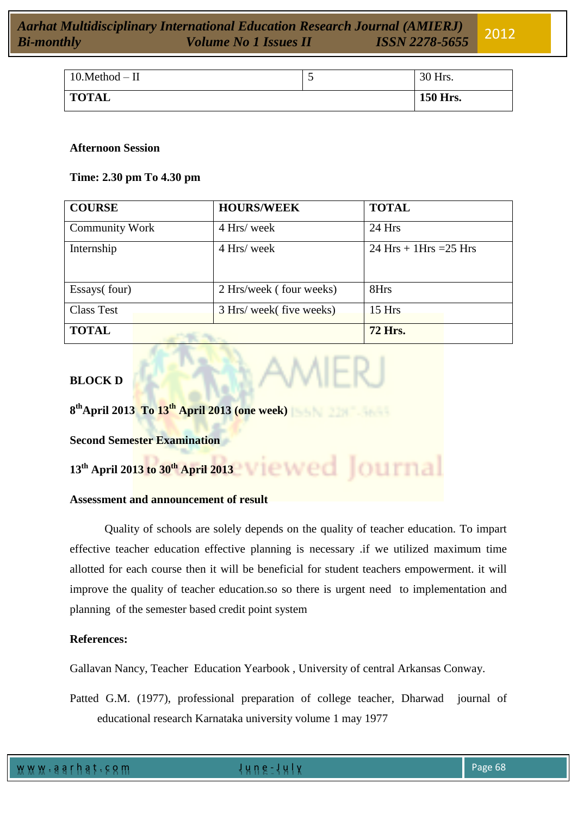| $10.Method - II$ | $\overline{\phantom{0}}$ | 30 Hrs.  |
|------------------|--------------------------|----------|
| <b>TOTAL</b>     |                          | 150 Hrs. |

#### **Afternoon Session**

#### **Time: 2.30 pm To 4.30 pm**

| <b>COURSE</b>         |                 | <b>HOURS/WEEK</b>        | <b>TOTAL</b>             |
|-----------------------|-----------------|--------------------------|--------------------------|
| <b>Community Work</b> |                 | 4 Hrs/ week              | 24 Hrs                   |
| Internship            |                 | 4 Hrs/ week              | $24$ Hrs + 1Hrs = 25 Hrs |
| Essays(four)          |                 | 2 Hrs/week (four weeks)  | 8Hrs                     |
| <b>Class Test</b>     |                 | 3 Hrs/ week( five weeks) | $15$ Hrs                 |
| <b>TOTAL</b>          | <b>CONFIRME</b> |                          | <b>72 Hrs.</b>           |

# **BLOCK D**

**8 thApril 2013 To 13th April 2013 (one week)**

**Second Semester Examination**

**13th April 2013 to 30th April 2013**

#### **Assessment and announcement of result**

Quality of schools are solely depends on the quality of teacher education. To impart effective teacher education effective planning is necessary .if we utilized maximum time allotted for each course then it will be beneficial for student teachers empowerment. it will improve the quality of teacher education.so so there is urgent need to implementation and planning of the semester based credit point system

#### **References:**

Gallavan Nancy, Teacher Education Yearbook , University of central Arkansas Conway.

Patted G.M. (1977), professional preparation of college teacher*,* Dharwad journal of educational research Karnataka university volume 1 may 1977